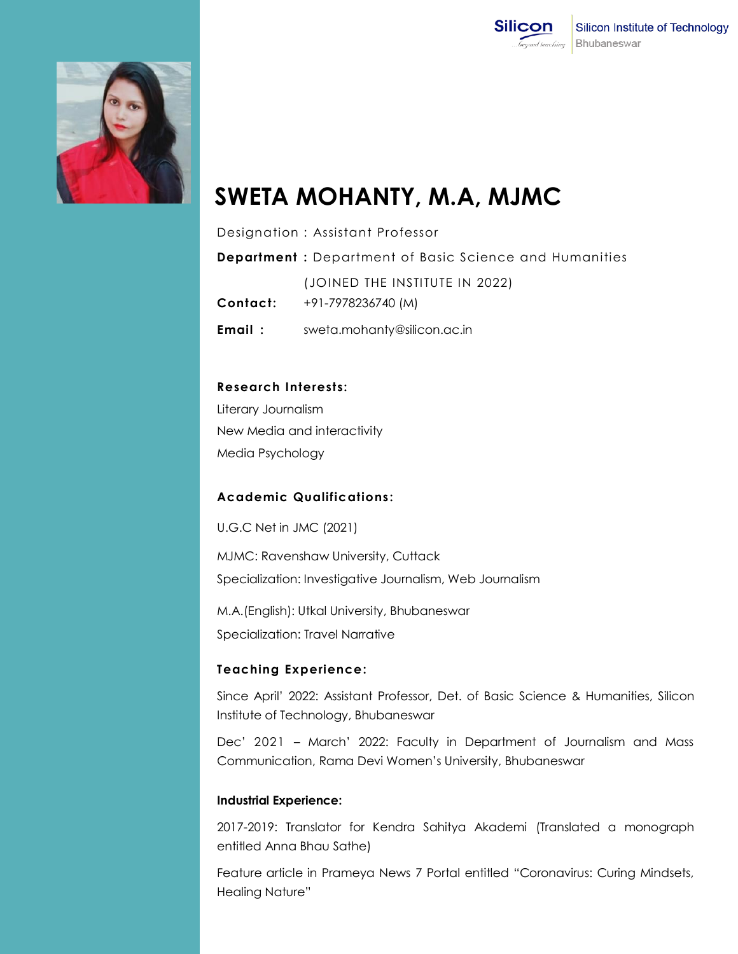



# **SWETA MOHANTY, M.A, MJMC**

Designation : Assistant Professor

**Department :** Department of Basic Science and Humanities (JOINED THE INSTITUTE IN 2022) **Contact:** +91-7978236740 (M) **Email :** [sweta.mohanty@silicon.ac.in](mailto:sweta.mohanty@silicon.ac.in)

### **Research Interests:**

Literary Journalism New Media and interactivity Media Psychology

### **Academic Qualifications :**

U.G.C Net in JMC (2021)

MJMC: Ravenshaw University, Cuttack Specialization: Investigative Journalism, Web Journalism

M.A.(English): Utkal University, Bhubaneswar Specialization: Travel Narrative

### **Teaching Experience:**

Since April' 2022: Assistant Professor, Det. of Basic Science & Humanities, Silicon Institute of Technology, Bhubaneswar

Dec' 2021 – March' 2022: Faculty in Department of Journalism and Mass Communication, Rama Devi Women's University, Bhubaneswar

#### **Industrial Experience:**

2017-2019: Translator for Kendra Sahitya Akademi (Translated a monograph entitled Anna Bhau Sathe)

Feature article in Prameya News 7 Portal entitled "Coronavirus: Curing Mindsets, Healing Nature"